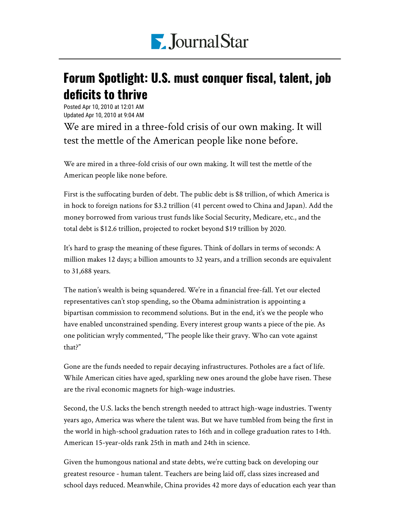

## Forum Spotlight: U.S. must conquer fiscal, talent, job deficits to thrive

Posted Apr 10, 2010 at 12:01 AM Updated Apr 10, 2010 at 9:04 AM

We are mired in a three-fold crisis of our own making. It will test the mettle of the American people like none before.

We are mired in a three-fold crisis of our own making. It will test the mettle of the American people like none before.

First is the suffocating burden of debt. The public debt is \$8 trillion, of which America is in hock to foreign nations for \$3.2 trillion (41 percent owed to China and Japan). Add the money borrowed from various trust funds like Social Security, Medicare, etc., and the total debt is \$12.6 trillion, projected to rocket beyond \$19 trillion by 2020.

It's hard to grasp the meaning of these figures. Think of dollars in terms of seconds: A million makes 12 days; a billion amounts to 32 years, and a trillion seconds are equivalent to 31,688 years.

The nation's wealth is being squandered. We're in a financial free-fall. Yet our elected representatives can't stop spending, so the Obama administration is appointing a bipartisan commission to recommend solutions. But in the end, it's we the people who have enabled unconstrained spending. Every interest group wants a piece of the pie. As one politician wryly commented, "The people like their gravy. Who can vote against that?"

Gone are the funds needed to repair decaying infrastructures. Potholes are a fact of life. While American cities have aged, sparkling new ones around the globe have risen. These are the rival economic magnets for high-wage industries.

Second, the U.S. lacks the bench strength needed to attract high-wage industries. Twenty years ago, America was where the talent was. But we have tumbled from being the first in the world in high-school graduation rates to 16th and in college graduation rates to 14th. American 15-year-olds rank 25th in math and 24th in science.

Given the humongous national and state debts, we're cutting back on developing our greatest resource - human talent. Teachers are being laid off, class sizes increased and school days reduced. Meanwhile, China provides 42 more days of education each year than